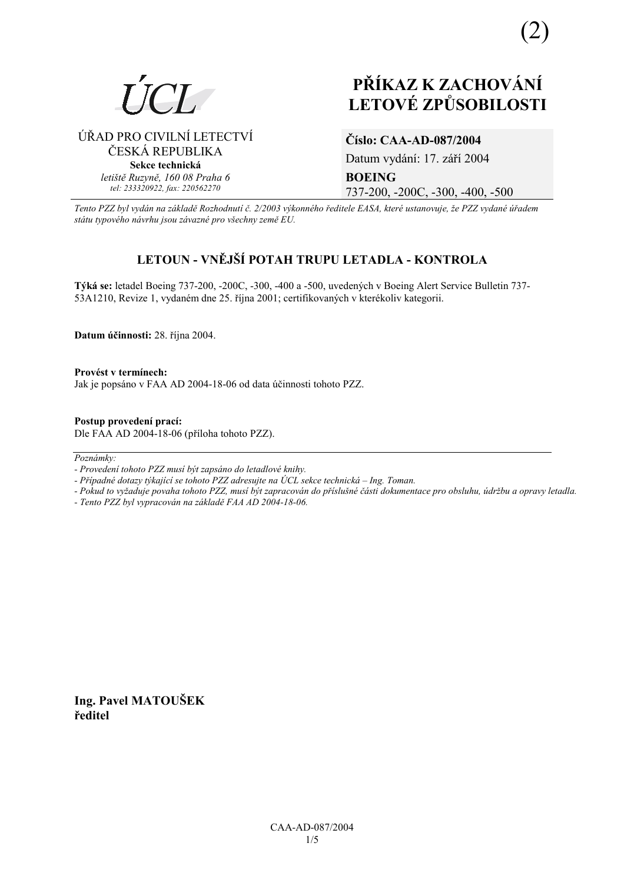

ÚŘAD PRO CIVILNÍ LETECTVÍ ČESKÁ REPUBLIKA **Sekce technická** *letiötě Ruzyně, 160 08 Praha 6 tel: 233320922, fax: 220562270*

# **PŘÍKAZ K ZACHOVÁNÍ LETOV… ZPŮSOBILOSTI**

# **ČÌslo: CAA-AD-087/2004**

Datum vydání: 17. září 2004 **BOEING**  737-200, -200C, -300, -400, -500

*Tento PZZ byl vyd·n na z·kladě RozhodnutÌ č. 2/2003 v˝konnÈho ředitele EASA, kterÈ ustanovuje, ûe PZZ vydanÈ ˙řadem st·tu typovÈho n·vrhu jsou z·vaznÈ pro vöechny země EU.*

# **LETOUN - VNĚJäÕ POTAH TRUPU LETADLA - KONTROLA**

Týká se: letadel Boeing 737-200, -200C, -300, -400 a -500, uvedených v Boeing Alert Service Bulletin 737-53A1210, Revize 1, vydaném dne 25. října 2001; certifikovaných v kterékoliv kategorii.

**Datum ˙činnosti:** 28. řÌjna 2004.

Provést v termínech: Jak je popsáno v FAA AD 2004-18-06 od data účinnosti tohoto PZZ.

**Postup provedenÌ pracÌ:**  Dle FAA AD 2004-18-06 (přÌloha tohoto PZZ).

 $Poznámky:$ 

- *Pokud to vyûaduje povaha tohoto PZZ, musÌ b˝t zapracov·n do přÌsluönÈ č·sti dokumentace pro obsluhu, ˙drûbu a opravy letadla.*
- *Tento PZZ byl vypracov·n na z·kladě FAA AD 2004-18-06.*

**Ing. Pavel MATOUäEK ředitel** 

*<sup>-</sup> ProvedenÌ tohoto PZZ musÌ b˝t zaps·no do letadlovÈ knihy.* 

*<sup>-</sup> Případné dotazy týkající se tohoto PZZ adresujte na ÚCL sekce technická – Ing. Toman.*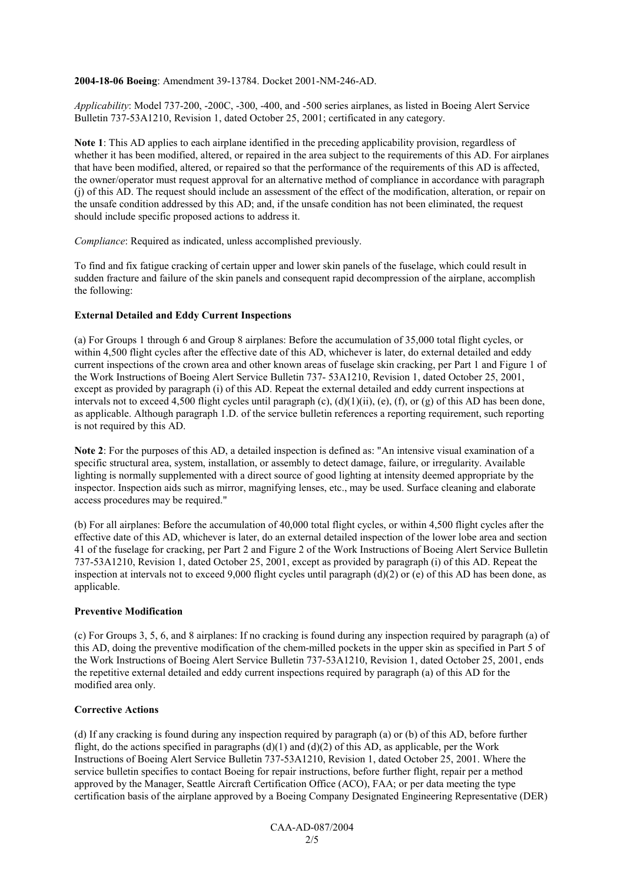**2004-18-06 Boeing**: Amendment 39-13784. Docket 2001-NM-246-AD.

*Applicability*: Model 737-200, -200C, -300, -400, and -500 series airplanes, as listed in Boeing Alert Service Bulletin 737-53A1210, Revision 1, dated October 25, 2001; certificated in any category.

**Note 1**: This AD applies to each airplane identified in the preceding applicability provision, regardless of whether it has been modified, altered, or repaired in the area subject to the requirements of this AD. For airplanes that have been modified, altered, or repaired so that the performance of the requirements of this AD is affected, the owner/operator must request approval for an alternative method of compliance in accordance with paragraph (j) of this AD. The request should include an assessment of the effect of the modification, alteration, or repair on the unsafe condition addressed by this AD; and, if the unsafe condition has not been eliminated, the request should include specific proposed actions to address it.

*Compliance*: Required as indicated, unless accomplished previously.

To find and fix fatigue cracking of certain upper and lower skin panels of the fuselage, which could result in sudden fracture and failure of the skin panels and consequent rapid decompression of the airplane, accomplish the following:

# **External Detailed and Eddy Current Inspections**

(a) For Groups 1 through 6 and Group 8 airplanes: Before the accumulation of 35,000 total flight cycles, or within 4,500 flight cycles after the effective date of this AD, whichever is later, do external detailed and eddy current inspections of the crown area and other known areas of fuselage skin cracking, per Part 1 and Figure 1 of the Work Instructions of Boeing Alert Service Bulletin 737- 53A1210, Revision 1, dated October 25, 2001, except as provided by paragraph (i) of this AD. Repeat the external detailed and eddy current inspections at intervals not to exceed 4,500 flight cycles until paragraph  $(c)$ ,  $(d)(1)(ii)$ ,  $(e)$ ,  $(f)$ , or  $(g)$  of this AD has been done, as applicable. Although paragraph 1.D. of the service bulletin references a reporting requirement, such reporting is not required by this AD.

**Note 2**: For the purposes of this AD, a detailed inspection is defined as: "An intensive visual examination of a specific structural area, system, installation, or assembly to detect damage, failure, or irregularity. Available lighting is normally supplemented with a direct source of good lighting at intensity deemed appropriate by the inspector. Inspection aids such as mirror, magnifying lenses, etc., may be used. Surface cleaning and elaborate access procedures may be required."

(b) For all airplanes: Before the accumulation of 40,000 total flight cycles, or within 4,500 flight cycles after the effective date of this AD, whichever is later, do an external detailed inspection of the lower lobe area and section 41 of the fuselage for cracking, per Part 2 and Figure 2 of the Work Instructions of Boeing Alert Service Bulletin 737-53A1210, Revision 1, dated October 25, 2001, except as provided by paragraph (i) of this AD. Repeat the inspection at intervals not to exceed 9,000 flight cycles until paragraph  $(d)(2)$  or (e) of this AD has been done, as applicable.

# **Preventive Modification**

(c) For Groups 3, 5, 6, and 8 airplanes: If no cracking is found during any inspection required by paragraph (a) of this AD, doing the preventive modification of the chem-milled pockets in the upper skin as specified in Part 5 of the Work Instructions of Boeing Alert Service Bulletin 737-53A1210, Revision 1, dated October 25, 2001, ends the repetitive external detailed and eddy current inspections required by paragraph (a) of this AD for the modified area only.

# **Corrective Actions**

(d) If any cracking is found during any inspection required by paragraph (a) or (b) of this AD, before further flight, do the actions specified in paragraphs  $(d)(1)$  and  $(d)(2)$  of this AD, as applicable, per the Work Instructions of Boeing Alert Service Bulletin 737-53A1210, Revision 1, dated October 25, 2001. Where the service bulletin specifies to contact Boeing for repair instructions, before further flight, repair per a method approved by the Manager, Seattle Aircraft Certification Office (ACO), FAA; or per data meeting the type certification basis of the airplane approved by a Boeing Company Designated Engineering Representative (DER)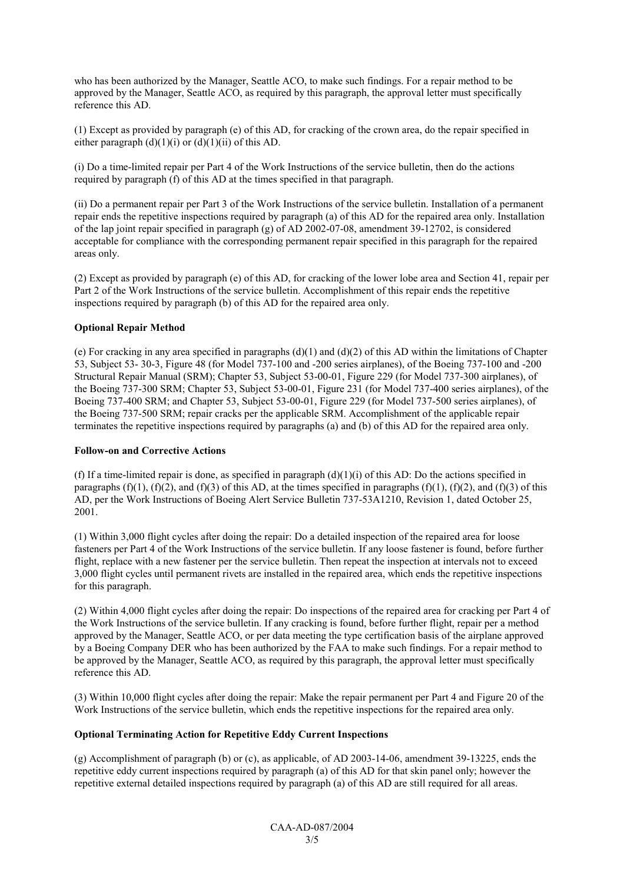who has been authorized by the Manager, Seattle ACO, to make such findings. For a repair method to be approved by the Manager, Seattle ACO, as required by this paragraph, the approval letter must specifically reference this AD.

(1) Except as provided by paragraph (e) of this AD, for cracking of the crown area, do the repair specified in either paragraph  $(d)(1)(i)$  or  $(d)(1)(ii)$  of this AD.

(i) Do a time-limited repair per Part 4 of the Work Instructions of the service bulletin, then do the actions required by paragraph (f) of this AD at the times specified in that paragraph.

(ii) Do a permanent repair per Part 3 of the Work Instructions of the service bulletin. Installation of a permanent repair ends the repetitive inspections required by paragraph (a) of this AD for the repaired area only. Installation of the lap joint repair specified in paragraph (g) of AD 2002-07-08, amendment 39-12702, is considered acceptable for compliance with the corresponding permanent repair specified in this paragraph for the repaired areas only.

(2) Except as provided by paragraph (e) of this AD, for cracking of the lower lobe area and Section 41, repair per Part 2 of the Work Instructions of the service bulletin. Accomplishment of this repair ends the repetitive inspections required by paragraph (b) of this AD for the repaired area only.

# **Optional Repair Method**

(e) For cracking in any area specified in paragraphs  $(d)(1)$  and  $(d)(2)$  of this AD within the limitations of Chapter 53, Subject 53- 30-3, Figure 48 (for Model 737-100 and -200 series airplanes), of the Boeing 737-100 and -200 Structural Repair Manual (SRM); Chapter 53, Subject 53-00-01, Figure 229 (for Model 737-300 airplanes), of the Boeing 737-300 SRM; Chapter 53, Subject 53-00-01, Figure 231 (for Model 737-400 series airplanes), of the Boeing 737-400 SRM; and Chapter 53, Subject 53-00-01, Figure 229 (for Model 737-500 series airplanes), of the Boeing 737-500 SRM; repair cracks per the applicable SRM. Accomplishment of the applicable repair terminates the repetitive inspections required by paragraphs (a) and (b) of this AD for the repaired area only.

# **Follow-on and Corrective Actions**

(f) If a time-limited repair is done, as specified in paragraph  $(d)(1)(i)$  of this AD: Do the actions specified in paragraphs  $(f)(1)$ ,  $(f)(2)$ , and  $(f)(3)$  of this AD, at the times specified in paragraphs  $(f)(1)$ ,  $(f)(2)$ , and  $(f)(3)$  of this AD, per the Work Instructions of Boeing Alert Service Bulletin 737-53A1210, Revision 1, dated October 25, 2001.

(1) Within 3,000 flight cycles after doing the repair: Do a detailed inspection of the repaired area for loose fasteners per Part 4 of the Work Instructions of the service bulletin. If any loose fastener is found, before further flight, replace with a new fastener per the service bulletin. Then repeat the inspection at intervals not to exceed 3,000 flight cycles until permanent rivets are installed in the repaired area, which ends the repetitive inspections for this paragraph.

(2) Within 4,000 flight cycles after doing the repair: Do inspections of the repaired area for cracking per Part 4 of the Work Instructions of the service bulletin. If any cracking is found, before further flight, repair per a method approved by the Manager, Seattle ACO, or per data meeting the type certification basis of the airplane approved by a Boeing Company DER who has been authorized by the FAA to make such findings. For a repair method to be approved by the Manager, Seattle ACO, as required by this paragraph, the approval letter must specifically reference this AD.

(3) Within 10,000 flight cycles after doing the repair: Make the repair permanent per Part 4 and Figure 20 of the Work Instructions of the service bulletin, which ends the repetitive inspections for the repaired area only.

# **Optional Terminating Action for Repetitive Eddy Current Inspections**

(g) Accomplishment of paragraph (b) or (c), as applicable, of AD 2003-14-06, amendment 39-13225, ends the repetitive eddy current inspections required by paragraph (a) of this AD for that skin panel only; however the repetitive external detailed inspections required by paragraph (a) of this AD are still required for all areas.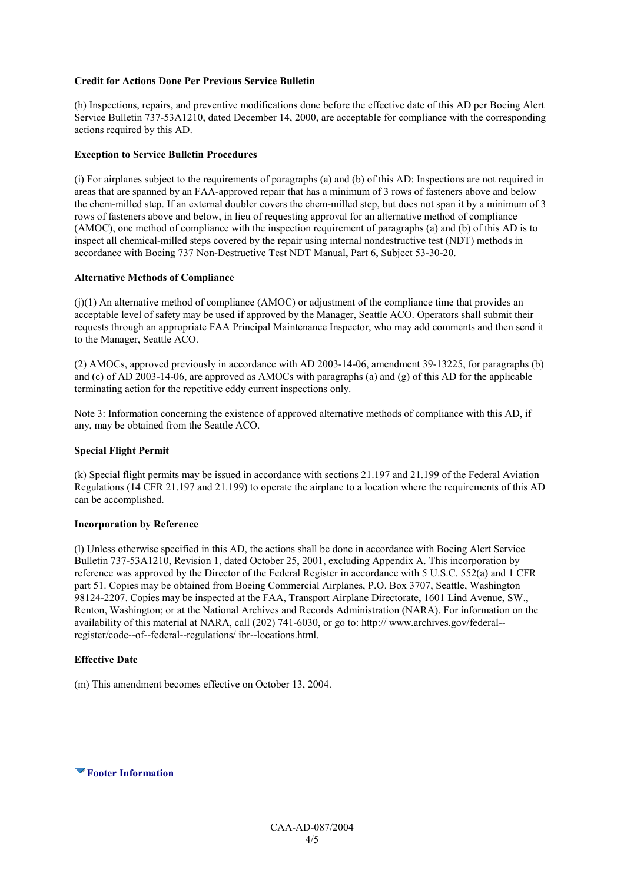# **Credit for Actions Done Per Previous Service Bulletin**

(h) Inspections, repairs, and preventive modifications done before the effective date of this AD per Boeing Alert Service Bulletin 737-53A1210, dated December 14, 2000, are acceptable for compliance with the corresponding actions required by this AD.

# **Exception to Service Bulletin Procedures**

(i) For airplanes subject to the requirements of paragraphs (a) and (b) of this AD: Inspections are not required in areas that are spanned by an FAA-approved repair that has a minimum of 3 rows of fasteners above and below the chem-milled step. If an external doubler covers the chem-milled step, but does not span it by a minimum of 3 rows of fasteners above and below, in lieu of requesting approval for an alternative method of compliance (AMOC), one method of compliance with the inspection requirement of paragraphs (a) and (b) of this AD is to inspect all chemical-milled steps covered by the repair using internal nondestructive test (NDT) methods in accordance with Boeing 737 Non-Destructive Test NDT Manual, Part 6, Subject 53-30-20.

# **Alternative Methods of Compliance**

(j)(1) An alternative method of compliance (AMOC) or adjustment of the compliance time that provides an acceptable level of safety may be used if approved by the Manager, Seattle ACO. Operators shall submit their requests through an appropriate FAA Principal Maintenance Inspector, who may add comments and then send it to the Manager, Seattle ACO.

(2) AMOCs, approved previously in accordance with AD 2003-14-06, amendment 39-13225, for paragraphs (b) and (c) of AD 2003-14-06, are approved as AMOCs with paragraphs (a) and (g) of this AD for the applicable terminating action for the repetitive eddy current inspections only.

Note 3: Information concerning the existence of approved alternative methods of compliance with this AD, if any, may be obtained from the Seattle ACO.

# **Special Flight Permit**

(k) Special flight permits may be issued in accordance with sections 21.197 and 21.199 of the Federal Aviation Regulations (14 CFR 21.197 and 21.199) to operate the airplane to a location where the requirements of this AD can be accomplished.

# **Incorporation by Reference**

(l) Unless otherwise specified in this AD, the actions shall be done in accordance with Boeing Alert Service Bulletin 737-53A1210, Revision 1, dated October 25, 2001, excluding Appendix A. This incorporation by reference was approved by the Director of the Federal Register in accordance with 5 U.S.C. 552(a) and 1 CFR part 51. Copies may be obtained from Boeing Commercial Airplanes, P.O. Box 3707, Seattle, Washington 98124-2207. Copies may be inspected at the FAA, Transport Airplane Directorate, 1601 Lind Avenue, SW., Renton, Washington; or at the National Archives and Records Administration (NARA). For information on the availability of this material at NARA, call (202) 741-6030, or go to: http:// www.archives.gov/federal- register/code--of--federal--regulations/ ibr--locations.html.

# **Effective Date**

(m) This amendment becomes effective on October 13, 2004.